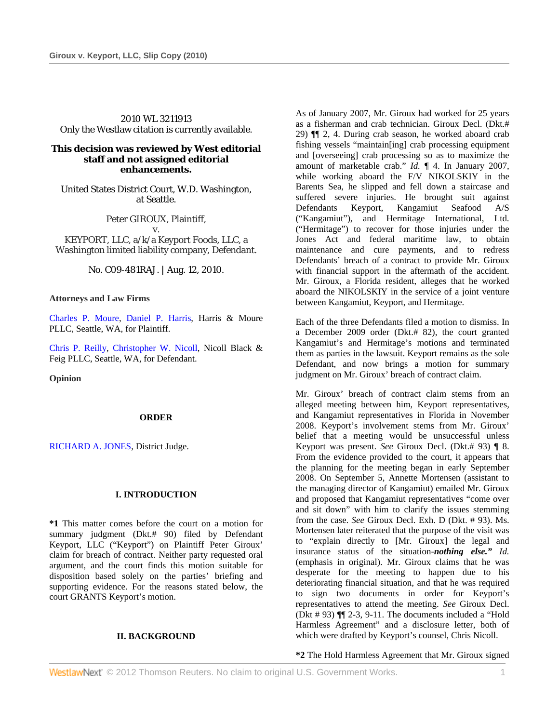2010 WL 3211913 Only the Westlaw citation is currently available.

### **This decision was reviewed by West editorial staff and not assigned editorial enhancements.**

United States District Court, W.D. Washington, at Seattle.

Peter GIROUX, Plaintiff, v. KEYPORT, LLC, a/k/a Keyport Foods, LLC, a Washington limited liability company, Defendant.

No. C09-481RAJ. | Aug. 12, 2010.

#### **Attorneys and Law Firms**

Charles P. Moure, Daniel P. Harris, Harris & Moure PLLC, Seattle, WA, for Plaintiff.

Chris P. Reilly, Christopher W. Nicoll, Nicoll Black & Feig PLLC, Seattle, WA, for Defendant.

**Opinion** 

#### **ORDER**

RICHARD A. JONES, District Judge.

## **I. INTRODUCTION**

**\*1** This matter comes before the court on a motion for summary judgment (Dkt.# 90) filed by Defendant Keyport, LLC ("Keyport") on Plaintiff Peter Giroux' claim for breach of contract. Neither party requested oral argument, and the court finds this motion suitable for disposition based solely on the parties' briefing and supporting evidence. For the reasons stated below, the court GRANTS Keyport's motion.

## **II. BACKGROUND**

As of January 2007, Mr. Giroux had worked for 25 years as a fisherman and crab technician. Giroux Decl. (Dkt.# 29) ¶¶ 2, 4. During crab season, he worked aboard crab fishing vessels "maintain[ing] crab processing equipment and [overseeing] crab processing so as to maximize the amount of marketable crab." *Id.* ¶ 4. In January 2007, while working aboard the F/V NIKOLSKIY in the Barents Sea, he slipped and fell down a staircase and suffered severe injuries. He brought suit against Defendants Keyport, Kangamiut Seafood A/S ("Kangamiut"), and Hermitage International, Ltd. ("Hermitage") to recover for those injuries under the Jones Act and federal maritime law, to obtain maintenance and cure payments, and to redress Defendants' breach of a contract to provide Mr. Giroux with financial support in the aftermath of the accident. Mr. Giroux, a Florida resident, alleges that he worked aboard the NIKOLSKIY in the service of a joint venture between Kangamiut, Keyport, and Hermitage.

Each of the three Defendants filed a motion to dismiss. In a December 2009 order (Dkt.# 82), the court granted Kangamiut's and Hermitage's motions and terminated them as parties in the lawsuit. Keyport remains as the sole Defendant, and now brings a motion for summary judgment on Mr. Giroux' breach of contract claim.

Mr. Giroux' breach of contract claim stems from an alleged meeting between him, Keyport representatives, and Kangamiut representatives in Florida in November 2008. Keyport's involvement stems from Mr. Giroux' belief that a meeting would be unsuccessful unless Keyport was present. *See* Giroux Decl. (Dkt.# 93) ¶ 8. From the evidence provided to the court, it appears that the planning for the meeting began in early September 2008. On September 5, Annette Mortensen (assistant to the managing director of Kangamiut) emailed Mr. Giroux and proposed that Kangamiut representatives "come over and sit down" with him to clarify the issues stemming from the case. *See* Giroux Decl. Exh. D (Dkt. # 93). Ms. Mortensen later reiterated that the purpose of the visit was to "explain directly to [Mr. Giroux] the legal and insurance status of the situation-*nothing else." Id.* (emphasis in original). Mr. Giroux claims that he was desperate for the meeting to happen due to his deteriorating financial situation, and that he was required to sign two documents in order for Keyport's representatives to attend the meeting. *See* Giroux Decl. (Dkt # 93) ¶¶ 2-3, 9-11. The documents included a "Hold Harmless Agreement" and a disclosure letter, both of which were drafted by Keyport's counsel, Chris Nicoll.

**\*2** The Hold Harmless Agreement that Mr. Giroux signed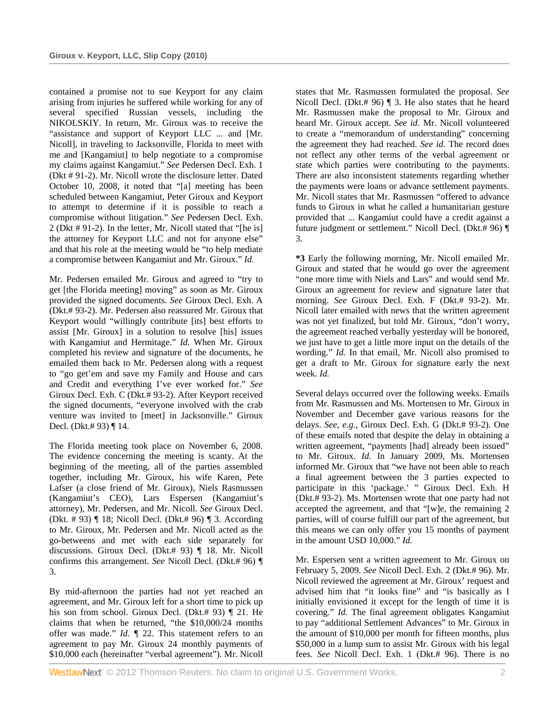contained a promise not to sue Keyport for any claim arising from injuries he suffered while working for any of several specified Russian vessels, including the NIKOLSKIY. In return, Mr. Giroux was to receive the "assistance and support of Keyport LLC ... and [Mr. Nicoll], in traveling to Jacksonville, Florida to meet with me and [Kangamiut] to help negotiate to a compromise my claims against Kangamiut." *See* Pedersen Decl. Exh. 1 (Dkt # 91-2). Mr. Nicoll wrote the disclosure letter. Dated October 10, 2008, it noted that "[a] meeting has been scheduled between Kangamiut, Peter Giroux and Keyport to attempt to determine if it is possible to reach a compromise without litigation." *See* Pedersen Decl. Exh. 2 (Dkt # 91-2). In the letter, Mr. Nicoll stated that "[he is] the attorney for Keyport LLC and not for anyone else" and that his role at the meeting would be "to help mediate a compromise between Kangamiut and Mr. Giroux." *Id.* 

Mr. Pedersen emailed Mr. Giroux and agreed to "try to get [the Florida meeting] moving" as soon as Mr. Giroux provided the signed documents. *See* Giroux Decl. Exh. A (Dkt.# 93-2). Mr. Pedersen also reassured Mr. Giroux that Keyport would "willingly contribute [its] best efforts to assist [Mr. Giroux] in a solution to resolve [his] issues with Kangamiut and Hermitage." *Id.* When Mr. Giroux completed his review and signature of the documents, he emailed them back to Mr. Pedersen along with a request to "go get'em and save my Family and House and cars and Credit and everything I've ever worked for." *See* Giroux Decl. Exh. C (Dkt.# 93-2). After Keyport received the signed documents, "everyone involved with the crab venture was invited to [meet] in Jacksonville." Giroux Decl. (Dkt.# 93) ¶ 14.

The Florida meeting took place on November 6, 2008. The evidence concerning the meeting is scanty. At the beginning of the meeting, all of the parties assembled together, including Mr. Giroux, his wife Karen, Pete Lafser (a close friend of Mr. Giroux), Niels Rasmussen (Kangamiut's CEO), Lars Espersen (Kangamiut's attorney), Mr. Pedersen, and Mr. Nicoll. *See* Giroux Decl. (Dkt. # 93) ¶ 18; Nicoll Decl. (Dkt.# 96) ¶ 3. According to Mr. Giroux, Mr. Pedersen and Mr. Nicoll acted as the go-betweens and met with each side separately for discussions. Giroux Decl. (Dkt.# 93) ¶ 18. Mr. Nicoll confirms this arrangement. *See* Nicoll Decl. (Dkt.# 96) ¶ 3.

By mid-afternoon the parties had not yet reached an agreement, and Mr. Giroux left for a short time to pick up his son from school. Giroux Decl. (Dkt.# 93) ¶ 21. He claims that when he returned, "the \$10,000/24 months offer was made." *Id.* ¶ 22. This statement refers to an agreement to pay Mr. Giroux 24 monthly payments of \$10,000 each (hereinafter "verbal agreement"). Mr. Nicoll

states that Mr. Rasmussen formulated the proposal. *See* Nicoll Decl. (Dkt.# 96) ¶ 3. He also states that he heard Mr. Rasmussen make the proposal to Mr. Giroux and heard Mr. Giroux accept. *See id.* Mr. Nicoll volunteered to create a "memorandum of understanding" concerning the agreement they had reached. *See id.* The record does not reflect any other terms of the verbal agreement or state which parties were contributing to the payments. There are also inconsistent statements regarding whether the payments were loans or advance settlement payments. Mr. Nicoll states that Mr. Rasmussen "offered to advance funds to Giroux in what he called a humanitarian gesture provided that ... Kangamiut could have a credit against a future judgment or settlement." Nicoll Decl. (Dkt.# 96) ¶ 3.

**\*3** Early the following morning, Mr. Nicoll emailed Mr. Giroux and stated that he would go over the agreement "one more time with Niels and Lars" and would send Mr. Giroux an agreement for review and signature later that morning. *See* Giroux Decl. Exh. F (Dkt.# 93-2). Mr. Nicoll later emailed with news that the written agreement was not yet finalized, but told Mr. Giroux, "don't worry, the agreement reached verbally yesterday will be honored, we just have to get a little more input on the details of the wording." *Id.* In that email, Mr. Nicoll also promised to get a draft to Mr. Giroux for signature early the next week. *Id.* 

Several delays occurred over the following weeks. Emails from Mr. Rasmussen and Ms. Mortensen to Mr. Giroux in November and December gave various reasons for the delays. *See, e.g.,* Giroux Decl. Exh. G (Dkt.# 93-2). One of these emails noted that despite the delay in obtaining a written agreement, "payments [had] already been issued" to Mr. Giroux. *Id.* In January 2009, Ms. Mortensen informed Mr. Giroux that "we have not been able to reach a final agreement between the 3 parties expected to participate in this 'package.' " Giroux Decl. Exh. H (Dkt.# 93-2). Ms. Mortensen wrote that one party had not accepted the agreement, and that "[w]e, the remaining 2 parties, will of course fulfill our part of the agreement, but this means we can only offer you 15 months of payment in the amount USD 10,000." *Id.* 

Mr. Espersen sent a written agreement to Mr. Giroux on February 5, 2009. *See* Nicoll Decl. Exh. 2 (Dkt.# 96). Mr. Nicoll reviewed the agreement at Mr. Giroux' request and advised him that "it looks fine" and "is basically as I initially envisioned it except for the length of time it is covering." *Id.* The final agreement obligates Kangamiut to pay "additional Settlement Advances" to Mr. Giroux in the amount of \$10,000 per month for fifteen months, plus \$50,000 in a lump sum to assist Mr. Giroux with his legal fees. *See* Nicoll Decl. Exh. 1 (Dkt.# 96). There is no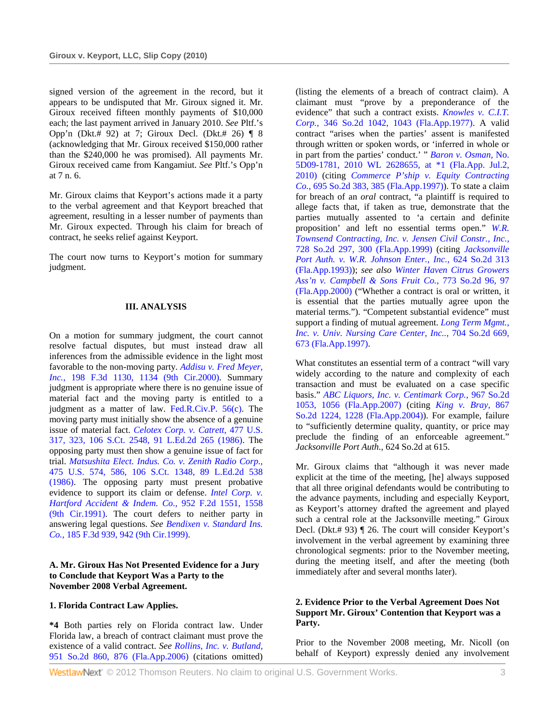signed version of the agreement in the record, but it appears to be undisputed that Mr. Giroux signed it. Mr. Giroux received fifteen monthly payments of \$10,000 each; the last payment arrived in January 2010. *See* Pltf.'s Opp'n (Dkt.# 92) at 7; Giroux Decl. (Dkt.# 26) ¶ 8 (acknowledging that Mr. Giroux received \$150,000 rather than the \$240,000 he was promised). All payments Mr. Giroux received came from Kangamiut. *See* Pltf.'s Opp'n at 7 n. 6.

Mr. Giroux claims that Keyport's actions made it a party to the verbal agreement and that Keyport breached that agreement, resulting in a lesser number of payments than Mr. Giroux expected. Through his claim for breach of contract, he seeks relief against Keyport.

The court now turns to Keyport's motion for summary judgment.

## **III. ANALYSIS**

On a motion for summary judgment, the court cannot resolve factual disputes, but must instead draw all inferences from the admissible evidence in the light most favorable to the non-moving party. *Addisu v. Fred Meyer, Inc.,* 198 F.3d 1130, 1134 (9th Cir.2000). Summary judgment is appropriate where there is no genuine issue of material fact and the moving party is entitled to a judgment as a matter of law. Fed.R.Civ.P. 56(c). The moving party must initially show the absence of a genuine issue of material fact. *Celotex Corp. v. Catrett,* 477 U.S. 317, 323, 106 S.Ct. 2548, 91 L.Ed.2d 265 (1986). The opposing party must then show a genuine issue of fact for trial. *Matsushita Elect. Indus. Co. v. Zenith Radio Corp.,* 475 U.S. 574, 586, 106 S.Ct. 1348, 89 L.Ed.2d 538 (1986). The opposing party must present probative evidence to support its claim or defense. *Intel Corp. v. Hartford Accident & Indem. Co.,* 952 F.2d 1551, 1558 (9th Cir.1991). The court defers to neither party in answering legal questions. *See Bendixen v. Standard Ins. Co.,* 185 F.3d 939, 942 (9th Cir.1999).

#### **A. Mr. Giroux Has Not Presented Evidence for a Jury to Conclude that Keyport Was a Party to the November 2008 Verbal Agreement.**

#### **1. Florida Contract Law Applies.**

**\*4** Both parties rely on Florida contract law. Under Florida law, a breach of contract claimant must prove the existence of a valid contract. *See Rollins, Inc. v. Butland,* 951 So.2d 860, 876 (Fla.App.2006) (citations omitted)

(listing the elements of a breach of contract claim). A claimant must "prove by a preponderance of the evidence" that such a contract exists. *Knowles v. C.I.T. Corp.,* 346 So.2d 1042, 1043 (Fla.App.1977). A valid contract "arises when the parties' assent is manifested through written or spoken words, or 'inferred in whole or in part from the parties' conduct.' " *Baron v. Osman,* No. 5D09-1781, 2010 WL 2628655, at \*1 (Fla.App. Jul.2, 2010) (citing *Commerce P'ship v. Equity Contracting Co.,* 695 So.2d 383, 385 (Fla.App.1997)). To state a claim for breach of an *oral* contract, "a plaintiff is required to allege facts that, if taken as true, demonstrate that the parties mutually assented to 'a certain and definite proposition' and left no essential terms open." *W.R. Townsend Contracting, Inc. v. Jensen Civil Constr., Inc.,* 728 So.2d 297, 300 (Fla.App.1999) (citing *Jacksonville Port Auth. v. W.R. Johnson Enter., Inc.,* 624 So.2d 313 (Fla.App.1993)); *see also Winter Haven Citrus Growers Ass'n v. Campbell & Sons Fruit Co.,* 773 So.2d 96, 97 (Fla.App.2000) ("Whether a contract is oral or written, it is essential that the parties mutually agree upon the material terms."). "Competent substantial evidence" must support a finding of mutual agreement. *Long Term Mgmt., Inc. v. Univ. Nursing Care Center, Inc..,* 704 So.2d 669, 673 (Fla.App.1997).

What constitutes an essential term of a contract "will vary widely according to the nature and complexity of each transaction and must be evaluated on a case specific basis." *ABC Liquors, Inc. v. Centimark Corp.,* 967 So.2d 1053, 1056 (Fla.App.2007) (citing *King v. Bray,* 867 So.2d 1224, 1228 (Fla.App.2004)). For example, failure to "sufficiently determine quality, quantity, or price may preclude the finding of an enforceable agreement." *Jacksonville Port Auth.,* 624 So.2d at 615.

Mr. Giroux claims that "although it was never made explicit at the time of the meeting, [he] always supposed that all three original defendants would be contributing to the advance payments, including and especially Keyport, as Keyport's attorney drafted the agreement and played such a central role at the Jacksonville meeting." Giroux Decl. (Dkt.# 93) ¶ 26. The court will consider Keyport's involvement in the verbal agreement by examining three chronological segments: prior to the November meeting, during the meeting itself, and after the meeting (both immediately after and several months later).

## **2. Evidence Prior to the Verbal Agreement Does Not Support Mr. Giroux' Contention that Keyport was a Party.**

Prior to the November 2008 meeting, Mr. Nicoll (on behalf of Keyport) expressly denied any involvement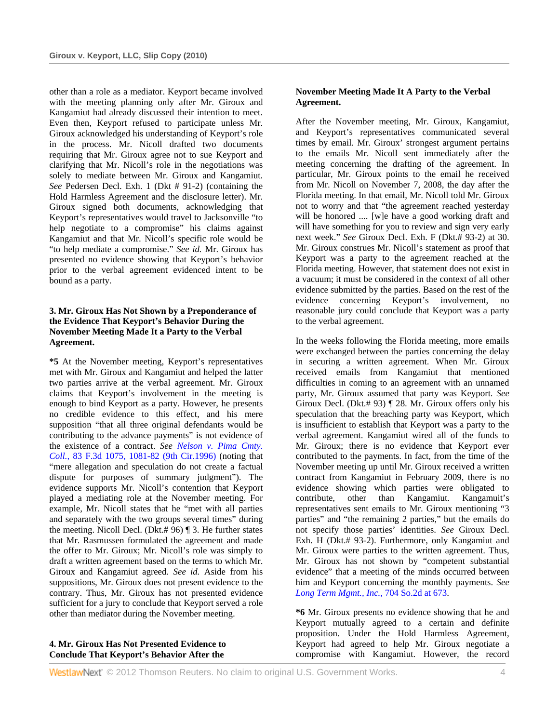other than a role as a mediator. Keyport became involved with the meeting planning only after Mr. Giroux and Kangamiut had already discussed their intention to meet. Even then, Keyport refused to participate unless Mr. Giroux acknowledged his understanding of Keyport's role in the process. Mr. Nicoll drafted two documents requiring that Mr. Giroux agree not to sue Keyport and clarifying that Mr. Nicoll's role in the negotiations was solely to mediate between Mr. Giroux and Kangamiut. *See* Pedersen Decl. Exh. 1 (Dkt # 91-2) (containing the Hold Harmless Agreement and the disclosure letter). Mr. Giroux signed both documents, acknowledging that Keyport's representatives would travel to Jacksonville "to help negotiate to a compromise" his claims against Kangamiut and that Mr. Nicoll's specific role would be "to help mediate a compromise." *See id.* Mr. Giroux has presented no evidence showing that Keyport's behavior prior to the verbal agreement evidenced intent to be bound as a party.

## **3. Mr. Giroux Has Not Shown by a Preponderance of the Evidence That Keyport's Behavior During the November Meeting Made It a Party to the Verbal Agreement.**

**\*5** At the November meeting, Keyport's representatives met with Mr. Giroux and Kangamiut and helped the latter two parties arrive at the verbal agreement. Mr. Giroux claims that Keyport's involvement in the meeting is enough to bind Keyport as a party. However, he presents no credible evidence to this effect, and his mere supposition "that all three original defendants would be contributing to the advance payments" is not evidence of the existence of a contract. *See Nelson v. Pima Cmty. Coll.,* 83 F.3d 1075, 1081-82 (9th Cir.1996) (noting that "mere allegation and speculation do not create a factual dispute for purposes of summary judgment"). The evidence supports Mr. Nicoll's contention that Keyport played a mediating role at the November meeting. For example, Mr. Nicoll states that he "met with all parties and separately with the two groups several times" during the meeting. Nicoll Decl. (Dkt.# 96) ¶ 3. He further states that Mr. Rasmussen formulated the agreement and made the offer to Mr. Giroux; Mr. Nicoll's role was simply to draft a written agreement based on the terms to which Mr. Giroux and Kangamiut agreed. *See id.* Aside from his suppositions, Mr. Giroux does not present evidence to the contrary. Thus, Mr. Giroux has not presented evidence sufficient for a jury to conclude that Keyport served a role other than mediator during the November meeting.

### **4. Mr. Giroux Has Not Presented Evidence to Conclude That Keyport's Behavior After the**

## **November Meeting Made It A Party to the Verbal Agreement.**

After the November meeting, Mr. Giroux, Kangamiut, and Keyport's representatives communicated several times by email. Mr. Giroux' strongest argument pertains to the emails Mr. Nicoll sent immediately after the meeting concerning the drafting of the agreement. In particular, Mr. Giroux points to the email he received from Mr. Nicoll on November 7, 2008, the day after the Florida meeting. In that email, Mr. Nicoll told Mr. Giroux not to worry and that "the agreement reached yesterday will be honored .... [w]e have a good working draft and will have something for you to review and sign very early next week." *See* Giroux Decl. Exh. F (Dkt.# 93-2) at 30. Mr. Giroux construes Mr. Nicoll's statement as proof that Keyport was a party to the agreement reached at the Florida meeting. However, that statement does not exist in a vacuum; it must be considered in the context of all other evidence submitted by the parties. Based on the rest of the evidence concerning Keyport's involvement, no reasonable jury could conclude that Keyport was a party to the verbal agreement.

In the weeks following the Florida meeting, more emails were exchanged between the parties concerning the delay in securing a written agreement. When Mr. Giroux received emails from Kangamiut that mentioned difficulties in coming to an agreement with an unnamed party, Mr. Giroux assumed that party was Keyport. *See* Giroux Decl. (Dkt.# 93) ¶ 28. Mr. Giroux offers only his speculation that the breaching party was Keyport, which is insufficient to establish that Keyport was a party to the verbal agreement. Kangamiut wired all of the funds to Mr. Giroux; there is no evidence that Keyport ever contributed to the payments. In fact, from the time of the November meeting up until Mr. Giroux received a written contract from Kangamiut in February 2009, there is no evidence showing which parties were obligated to contribute, other than Kangamiut. Kangamuit's representatives sent emails to Mr. Giroux mentioning "3 parties" and "the remaining 2 parties," but the emails do not specify those parties' identities. *See* Giroux Decl. Exh. H (Dkt.# 93-2). Furthermore, only Kangamiut and Mr. Giroux were parties to the written agreement. Thus, Mr. Giroux has not shown by "competent substantial evidence" that a meeting of the minds occurred between him and Keyport concerning the monthly payments. *See Long Term Mgmt., Inc.,* 704 So.2d at 673.

**\*6** Mr. Giroux presents no evidence showing that he and Keyport mutually agreed to a certain and definite proposition. Under the Hold Harmless Agreement, Keyport had agreed to help Mr. Giroux negotiate a compromise with Kangamiut. However, the record